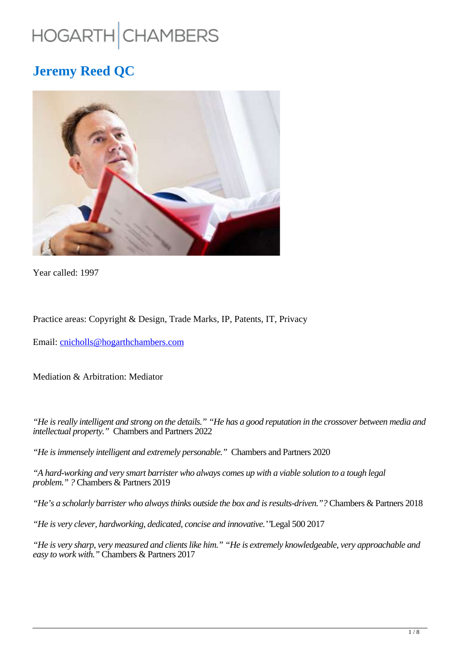# HOGARTH CHAMBERS

## **Jeremy Reed QC**



Year called: 1997

Practice areas: Copyright & Design, Trade Marks, IP, Patents, IT, Privacy

Email: cnicholls@hogarthchambers.com

Mediation & Arbitration: Mediator

*"He is really intelligent and strong on the details." "He has a good reputation in the crossover between media and intellectual property."* Chambers and Partners 2022

*"He is immensely intelligent and extremely personable."* Chambers and Partners 2020

*"A hard-working and very smart barrister who always comes up with a viable solution to a tough legal problem." ?* Chambers & Partners 2019

*"He's a scholarly barrister who always thinks outside the box and is results-driven."?* Chambers & Partners 2018

*"He is very clever, hardworking, dedicated, concise and innovative.''*Legal 500 2017

*"He is very sharp, very measured and clients like him." "He is extremely knowledgeable, very approachable and easy to work with."* Chambers & Partners 2017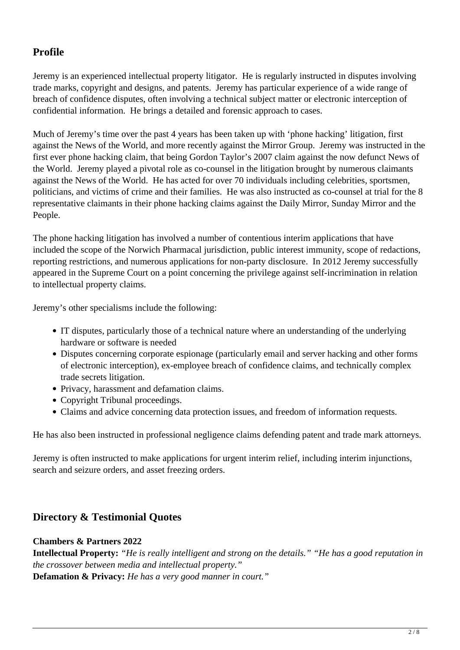## **Profile**

Jeremy is an experienced intellectual property litigator. He is regularly instructed in disputes involving trade marks, copyright and designs, and patents. Jeremy has particular experience of a wide range of breach of confidence disputes, often involving a technical subject matter or electronic interception of confidential information. He brings a detailed and forensic approach to cases.

Much of Jeremy's time over the past 4 years has been taken up with 'phone hacking' litigation, first against the News of the World, and more recently against the Mirror Group. Jeremy was instructed in the first ever phone hacking claim, that being Gordon Taylor's 2007 claim against the now defunct News of the World. Jeremy played a pivotal role as co-counsel in the litigation brought by numerous claimants against the News of the World. He has acted for over 70 individuals including celebrities, sportsmen, politicians, and victims of crime and their families. He was also instructed as co-counsel at trial for the 8 representative claimants in their phone hacking claims against the Daily Mirror, Sunday Mirror and the People.

The phone hacking litigation has involved a number of contentious interim applications that have included the scope of the Norwich Pharmacal jurisdiction, public interest immunity, scope of redactions, reporting restrictions, and numerous applications for non-party disclosure. In 2012 Jeremy successfully appeared in the Supreme Court on a point concerning the privilege against self-incrimination in relation to intellectual property claims.

Jeremy's other specialisms include the following:

- IT disputes, particularly those of a technical nature where an understanding of the underlying hardware or software is needed
- Disputes concerning corporate espionage (particularly email and server hacking and other forms of electronic interception), ex-employee breach of confidence claims, and technically complex trade secrets litigation.
- Privacy, harassment and defamation claims.
- Copyright Tribunal proceedings.
- Claims and advice concerning data protection issues, and freedom of information requests.

He has also been instructed in professional negligence claims defending patent and trade mark attorneys.

Jeremy is often instructed to make applications for urgent interim relief, including interim injunctions, search and seizure orders, and asset freezing orders.

## **Directory & Testimonial Quotes**

#### **Chambers & Partners 2022**

**Intellectual Property:** *"He is really intelligent and strong on the details." "He has a good reputation in the crossover between media and intellectual property."*

**Defamation & Privacy:** *He has a very good manner in court."*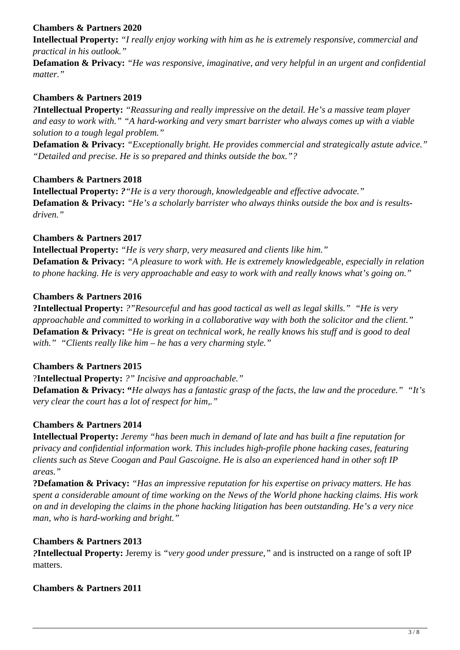## **Chambers & Partners 2020**

**Intellectual Property:** *"I really enjoy working with him as he is extremely responsive, commercial and practical in his outlook."*

**Defamation & Privacy:** *"He was responsive, imaginative, and very helpful in an urgent and confidential matter."* 

#### **Chambers & Partners 2019**

*?***Intellectual Property:** *"Reassuring and really impressive on the detail. He's a massive team player and easy to work with." "A hard-working and very smart barrister who always comes up with a viable solution to a tough legal problem."* 

**Defamation & Privacy:** *"Exceptionally bright. He provides commercial and strategically astute advice." "Detailed and precise. He is so prepared and thinks outside the box."?*

#### **Chambers & Partners 2018**

**Intellectual Property:** *?"He is a very thorough, knowledgeable and effective advocate."* **Defamation & Privacy:** *"He's a scholarly barrister who always thinks outside the box and is resultsdriven."*

#### **Chambers & Partners 2017**

**Intellectual Property:** *"He is very sharp, very measured and clients like him."*  **Defamation & Privacy:** *"A pleasure to work with. He is extremely knowledgeable, especially in relation to phone hacking. He is very approachable and easy to work with and really knows what's going on."*

#### **Chambers & Partners 2016**

**?Intellectual Property:** *?"Resourceful and has good tactical as well as legal skills." "He is very approachable and committed to working in a collaborative way with both the solicitor and the client."* **Defamation & Privacy:** *"He is great on technical work, he really knows his stuff and is good to deal with." "Clients really like him – he has a very charming style."*

#### **Chambers & Partners 2015**

?**Intellectual Property:** *?" Incisive and approachable."*

**Defamation & Privacy: "***He always has a fantastic grasp of the facts, the law and the procedure." "It's very clear the court has a lot of respect for him,."*

#### **Chambers & Partners 2014**

**Intellectual Property:** *Jeremy "has been much in demand of late and has built a fine reputation for privacy and confidential information work. This includes high-profile phone hacking cases, featuring clients such as Steve Coogan and Paul Gascoigne. He is also an experienced hand in other soft IP areas."*

**?Defamation & Privacy:** *"Has an impressive reputation for his expertise on privacy matters. He has spent a considerable amount of time working on the News of the World phone hacking claims. His work on and in developing the claims in the phone hacking litigation has been outstanding. He's a very nice man, who is hard-working and bright."*

#### **Chambers & Partners 2013**

*?***Intellectual Property:** Jeremy is *"very good under pressure,"* and is instructed on a range of soft IP matters.

#### **Chambers & Partners 2011**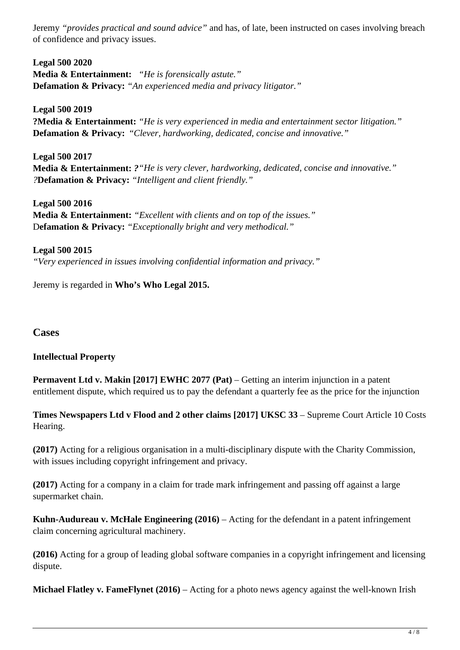Jeremy *"provides practical and sound advice"* and has, of late, been instructed on cases involving breach of confidence and privacy issues.

**Legal 500 2020 Media & Entertainment:** *"He is forensically astute."* **Defamation & Privacy:** *"An experienced media and privacy litigator."*

**Legal 500 2019 ?Media & Entertainment:** *"He is very experienced in media and entertainment sector litigation."* **Defamation & Privacy:** "*Clever, hardworking, dedicated, concise and innovative."*

**Legal 500 2017 Media & Entertainment:** *?"He is very clever, hardworking, dedicated, concise and innovative." ?***Defamation & Privacy:** *"Intelligent and client friendly."*

**Legal 500 2016 Media & Entertainment:** *"Excellent with clients and on top of the issues."*  D**efamation & Privacy:** *"Exceptionally bright and very methodical."*

**Legal 500 2015**  *"Very experienced in issues involving confidential information and privacy."* 

Jeremy is regarded in **Who's Who Legal 2015.**

## **Cases**

#### **Intellectual Property**

**Permavent Ltd v. Makin [2017] EWHC 2077 (Pat) – Getting an interim injunction in a patent** entitlement dispute, which required us to pay the defendant a quarterly fee as the price for the injunction

**Times Newspapers Ltd v Flood and 2 other claims [2017] UKSC 33** – Supreme Court Article 10 Costs Hearing.

**(2017)** Acting for a religious organisation in a multi-disciplinary dispute with the Charity Commission, with issues including copyright infringement and privacy.

**(2017)** Acting for a company in a claim for trade mark infringement and passing off against a large supermarket chain.

**Kuhn-Audureau v. McHale Engineering (2016)** – Acting for the defendant in a patent infringement claim concerning agricultural machinery.

**(2016)** Acting for a group of leading global software companies in a copyright infringement and licensing dispute.

**Michael Flatley v. FameFlynet (2016)** – Acting for a photo news agency against the well-known Irish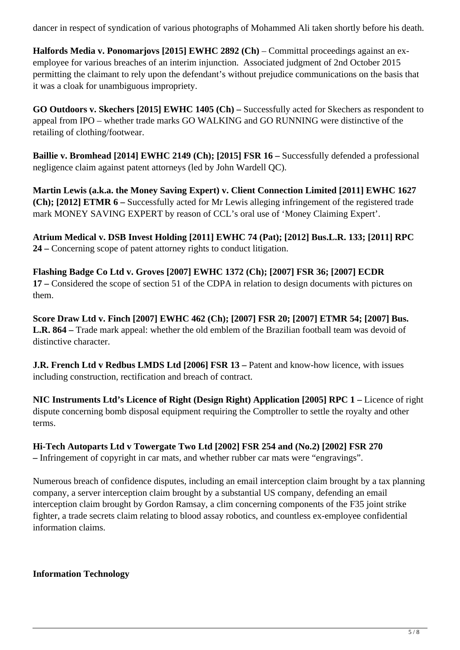dancer in respect of syndication of various photographs of Mohammed Ali taken shortly before his death.

**Halfords Media v. Ponomarjovs [2015] EWHC 2892 (Ch)** – Committal proceedings against an exemployee for various breaches of an interim injunction. Associated judgment of 2nd October 2015 permitting the claimant to rely upon the defendant's without prejudice communications on the basis that it was a cloak for unambiguous impropriety.

**GO Outdoors v. Skechers [2015] EWHC 1405 (Ch) –** Successfully acted for Skechers as respondent to appeal from IPO – whether trade marks GO WALKING and GO RUNNING were distinctive of the retailing of clothing/footwear.

**Baillie v. Bromhead [2014] EWHC 2149 (Ch); [2015] FSR 16 –** Successfully defended a professional negligence claim against patent attorneys (led by John Wardell QC).

**Martin Lewis (a.k.a. the Money Saving Expert) v. Client Connection Limited [2011] EWHC 1627 (Ch); [2012] ETMR 6 –** Successfully acted for Mr Lewis alleging infringement of the registered trade mark MONEY SAVING EXPERT by reason of CCL's oral use of 'Money Claiming Expert'.

**Atrium Medical v. DSB Invest Holding [2011] EWHC 74 (Pat); [2012] Bus.L.R. 133; [2011] RPC 24 –** Concerning scope of patent attorney rights to conduct litigation.

**Flashing Badge Co Ltd v. Groves [2007] EWHC 1372 (Ch); [2007] FSR 36; [2007] ECDR 17 –** Considered the scope of section 51 of the CDPA in relation to design documents with pictures on them.

**Score Draw Ltd v. Finch [2007] EWHC 462 (Ch); [2007] FSR 20; [2007] ETMR 54; [2007] Bus.** L.R. 864 – Trade mark appeal: whether the old emblem of the Brazilian football team was devoid of distinctive character.

**J.R. French Ltd v Redbus LMDS Ltd [2006] FSR 13 – Patent and know-how licence, with issues** including construction, rectification and breach of contract.

NIC Instruments Ltd's Licence of Right (Design Right) Application [2005] RPC 1 – Licence of right dispute concerning bomb disposal equipment requiring the Comptroller to settle the royalty and other terms.

**Hi-Tech Autoparts Ltd v Towergate Two Ltd [2002] FSR 254 and (No.2) [2002] FSR 270 –** Infringement of copyright in car mats, and whether rubber car mats were "engravings".

Numerous breach of confidence disputes, including an email interception claim brought by a tax planning company, a server interception claim brought by a substantial US company, defending an email interception claim brought by Gordon Ramsay, a clim concerning components of the F35 joint strike fighter, a trade secrets claim relating to blood assay robotics, and countless ex-employee confidential information claims.

## **Information Technology**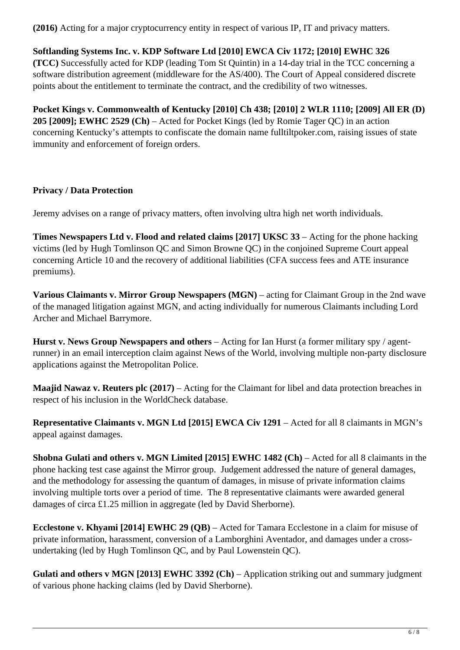**(2016)** Acting for a major cryptocurrency entity in respect of various IP, IT and privacy matters.

## **Softlanding Systems Inc. v. KDP Software Ltd [2010] EWCA Civ 1172; [2010] EWHC 326**

**(TCC)** Successfully acted for KDP (leading Tom St Quintin) in a 14-day trial in the TCC concerning a software distribution agreement (middleware for the AS/400). The Court of Appeal considered discrete points about the entitlement to terminate the contract, and the credibility of two witnesses.

**Pocket Kings v. Commonwealth of Kentucky [2010] Ch 438; [2010] 2 WLR 1110; [2009] All ER (D) 205 [2009]; EWHC 2529 (Ch)** – Acted for Pocket Kings (led by Romie Tager QC) in an action concerning Kentucky's attempts to confiscate the domain name fulltiltpoker.com, raising issues of state immunity and enforcement of foreign orders.

#### **Privacy / Data Protection**

Jeremy advises on a range of privacy matters, often involving ultra high net worth individuals.

**Times Newspapers Ltd v. Flood and related claims [2017] UKSC 33** – Acting for the phone hacking victims (led by Hugh Tomlinson QC and Simon Browne QC) in the conjoined Supreme Court appeal concerning Article 10 and the recovery of additional liabilities (CFA success fees and ATE insurance premiums).

**Various Claimants v. Mirror Group Newspapers (MGN)** – acting for Claimant Group in the 2nd wave of the managed litigation against MGN, and acting individually for numerous Claimants including Lord Archer and Michael Barrymore.

**Hurst v. News Group Newspapers and others** – Acting for Ian Hurst (a former military spy / agentrunner) in an email interception claim against News of the World, involving multiple non-party disclosure applications against the Metropolitan Police.

**Maajid Nawaz v. Reuters plc (2017)** – Acting for the Claimant for libel and data protection breaches in respect of his inclusion in the WorldCheck database.

**Representative Claimants v. MGN Ltd [2015] EWCA Civ 1291** – Acted for all 8 claimants in MGN's appeal against damages.

**Shobna Gulati and others v. MGN Limited [2015] EWHC 1482 (Ch) – Acted for all 8 claimants in the** phone hacking test case against the Mirror group. Judgement addressed the nature of general damages, and the methodology for assessing the quantum of damages, in misuse of private information claims involving multiple torts over a period of time. The 8 representative claimants were awarded general damages of circa £1.25 million in aggregate (led by David Sherborne).

**Ecclestone v. Khyami [2014] EWHC 29 (QB)** – Acted for Tamara Ecclestone in a claim for misuse of private information, harassment, conversion of a Lamborghini Aventador, and damages under a crossundertaking (led by Hugh Tomlinson QC, and by Paul Lowenstein QC).

**Gulati and others v MGN [2013] EWHC 3392 (Ch)** – Application striking out and summary judgment of various phone hacking claims (led by David Sherborne).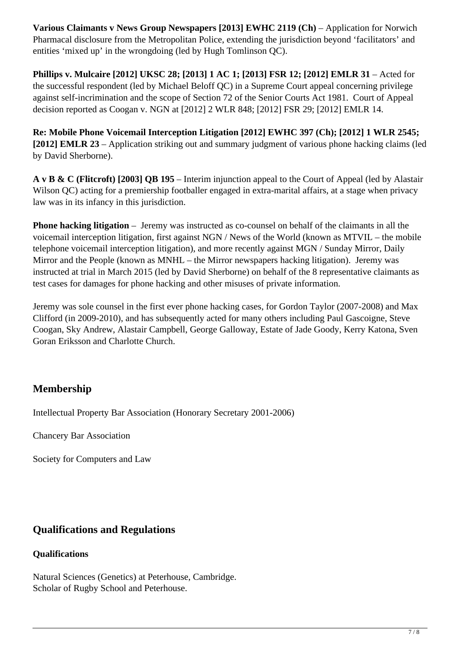**Various Claimants v News Group Newspapers [2013] EWHC 2119 (Ch)** – Application for Norwich Pharmacal disclosure from the Metropolitan Police, extending the jurisdiction beyond 'facilitators' and entities 'mixed up' in the wrongdoing (led by Hugh Tomlinson QC).

**Phillips v. Mulcaire [2012] UKSC 28; [2013] 1 AC 1; [2013] FSR 12; [2012] EMLR 31 – Acted for** the successful respondent (led by Michael Beloff QC) in a Supreme Court appeal concerning privilege against self-incrimination and the scope of Section 72 of the Senior Courts Act 1981. Court of Appeal decision reported as Coogan v. NGN at [2012] 2 WLR 848; [2012] FSR 29; [2012] EMLR 14.

**Re: Mobile Phone Voicemail Interception Litigation [2012] EWHC 397 (Ch); [2012] 1 WLR 2545; [2012] EMLR 23** – Application striking out and summary judgment of various phone hacking claims (led by David Sherborne).

**A v B & C (Flitcroft) [2003] QB 195** – Interim injunction appeal to the Court of Appeal (led by Alastair Wilson QC) acting for a premiership footballer engaged in extra-marital affairs, at a stage when privacy law was in its infancy in this jurisdiction.

**Phone hacking litigation** – Jeremy was instructed as co-counsel on behalf of the claimants in all the voicemail interception litigation, first against NGN / News of the World (known as MTVIL – the mobile telephone voicemail interception litigation), and more recently against MGN / Sunday Mirror, Daily Mirror and the People (known as MNHL – the Mirror newspapers hacking litigation). Jeremy was instructed at trial in March 2015 (led by David Sherborne) on behalf of the 8 representative claimants as test cases for damages for phone hacking and other misuses of private information.

Jeremy was sole counsel in the first ever phone hacking cases, for Gordon Taylor (2007-2008) and Max Clifford (in 2009-2010), and has subsequently acted for many others including Paul Gascoigne, Steve Coogan, Sky Andrew, Alastair Campbell, George Galloway, Estate of Jade Goody, Kerry Katona, Sven Goran Eriksson and Charlotte Church.

## **Membership**

Intellectual Property Bar Association (Honorary Secretary 2001-2006)

Chancery Bar Association

Society for Computers and Law

## **Qualifications and Regulations**

## **Qualifications**

Natural Sciences (Genetics) at Peterhouse, Cambridge. Scholar of Rugby School and Peterhouse.